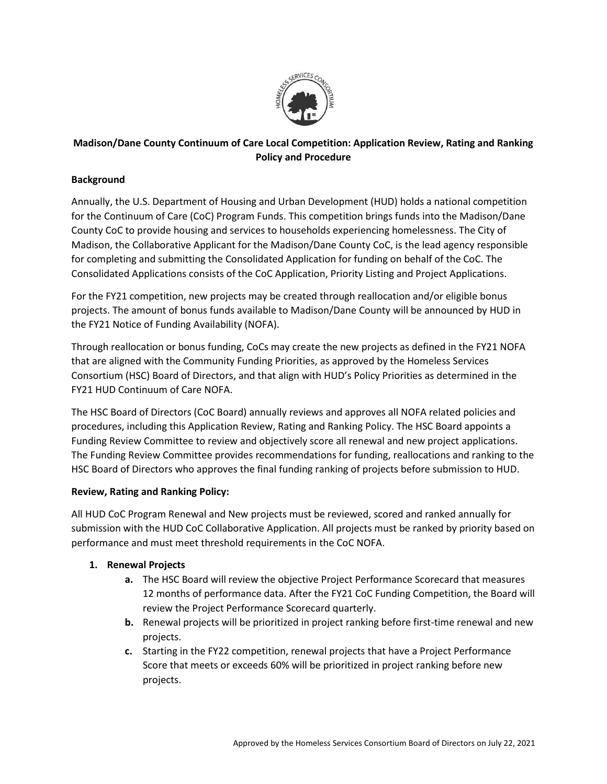

# **Madison/Dane County Continuum of Care Local Competition: Application Review, Rating and Ranking Policy and Procedure**

# **Background**

Annually, the U.S. Department of Housing and Urban Development (HUD) holds a national competition for the Continuum of Care (CoC) Program Funds. This competition brings funds into the Madison/Dane County CoC to provide housing and services to households experiencing homelessness. The City of Madison, the Collaborative Applicant for the Madison/Dane County CoC, is the lead agency responsible for completing and submitting the Consolidated Application for funding on behalf of the CoC. The Consolidated Applications consists of the CoC Application, Priority Listing and Project Applications.

For the FY21 competition, new projects may be created through reallocation and/or eligible bonus projects. The amount of bonus funds available to Madison/Dane County will be announced by HUD in the FY21 Notice of Funding Availability (NOFA).

Through reallocation or bonus funding, CoCs may create the new projects as defined in the FY21 NOFA that are aligned with the Community Funding Priorities, as approved by the Homeless Services Consortium (HSC) Board of Directors, and that align with HUD's Policy Priorities as determined in the FY21 HUD Continuum of Care NOFA.

The HSC Board of Directors (CoC Board) annually reviews and approves all NOFA related policies and procedures, including this Application Review, Rating and Ranking Policy. The HSC Board appoints a Funding Review Committee to review and objectively score all renewal and new project applications. The Funding Review Committee provides recommendations for funding, reallocations and ranking to the HSC Board of Directors who approves the final funding ranking of projects before submission to HUD.

# **Review, Rating and Ranking Policy:**

All HUD CoC Program Renewal and New projects must be reviewed, scored and ranked annually for submission with the HUD CoC Collaborative Application. All projects must be ranked by priority based on performance and must meet threshold requirements in the CoC NOFA.

# **1. Renewal Projects**

- **a.** The HSC Board will review the objective Project Performance Scorecard that measures 12 months of performance data. After the FY21 CoC Funding Competition, the Board will review the Project Performance Scorecard quarterly.
- **b.** Renewal projects will be prioritized in project ranking before first-time renewal and new projects.
- **c.** Starting in the FY22 competition, renewal projects that have a Project Performance Score that meets or exceeds 60% will be prioritized in project ranking before new projects.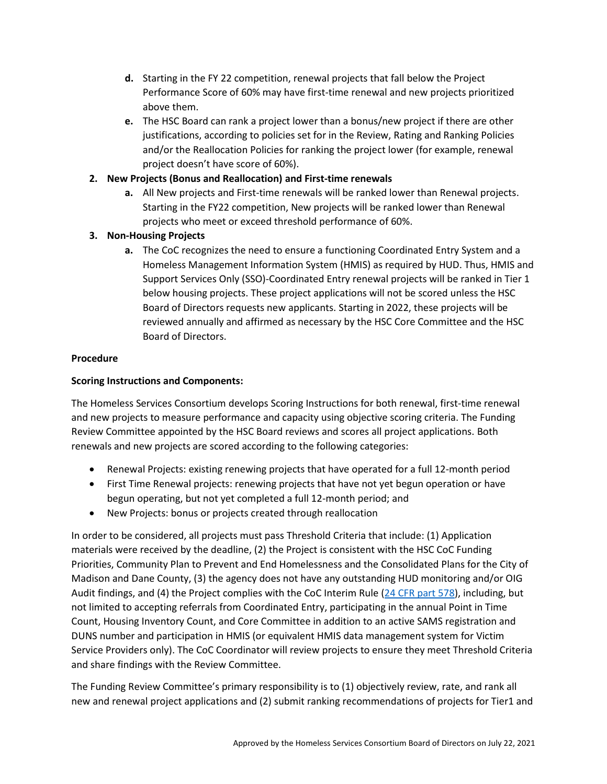- **d.** Starting in the FY 22 competition, renewal projects that fall below the Project Performance Score of 60% may have first-time renewal and new projects prioritized above them.
- **e.** The HSC Board can rank a project lower than a bonus/new project if there are other justifications, according to policies set for in the Review, Rating and Ranking Policies and/or the Reallocation Policies for ranking the project lower (for example, renewal project doesn't have score of 60%).

# **2. New Projects (Bonus and Reallocation) and First-time renewals**

**a.** All New projects and First-time renewals will be ranked lower than Renewal projects. Starting in the FY22 competition, New projects will be ranked lower than Renewal projects who meet or exceed threshold performance of 60%.

# **3. Non-Housing Projects**

**a.** The CoC recognizes the need to ensure a functioning Coordinated Entry System and a Homeless Management Information System (HMIS) as required by HUD. Thus, HMIS and Support Services Only (SSO)-Coordinated Entry renewal projects will be ranked in Tier 1 below housing projects. These project applications will not be scored unless the HSC Board of Directors requests new applicants. Starting in 2022, these projects will be reviewed annually and affirmed as necessary by the HSC Core Committee and the HSC Board of Directors.

### **Procedure**

### **Scoring Instructions and Components:**

The Homeless Services Consortium develops Scoring Instructions for both renewal, first-time renewal and new projects to measure performance and capacity using objective scoring criteria. The Funding Review Committee appointed by the HSC Board reviews and scores all project applications. Both renewals and new projects are scored according to the following categories:

- Renewal Projects: existing renewing projects that have operated for a full 12-month period
- First Time Renewal projects: renewing projects that have not yet begun operation or have begun operating, but not yet completed a full 12-month period; and
- New Projects: bonus or projects created through reallocation

In order to be considered, all projects must pass Threshold Criteria that include: (1) Application materials were received by the deadline, (2) the Project is consistent with the HSC CoC Funding Priorities, Community Plan to Prevent and End Homelessness and the Consolidated Plans for the City of Madison and Dane County, (3) the agency does not have any outstanding HUD monitoring and/or OIG Audit findings, and (4) the Project complies with the CoC Interim Rule [\(24 CFR part 578\)](https://www.in.gov/ihcda/files/housing-urban-dev-24-cfr-part-578.pdf), including, but not limited to accepting referrals from Coordinated Entry, participating in the annual Point in Time Count, Housing Inventory Count, and Core Committee in addition to an active SAMS registration and DUNS number and participation in HMIS (or equivalent HMIS data management system for Victim Service Providers only). The CoC Coordinator will review projects to ensure they meet Threshold Criteria and share findings with the Review Committee.

The Funding Review Committee's primary responsibility is to (1) objectively review, rate, and rank all new and renewal project applications and (2) submit ranking recommendations of projects for Tier1 and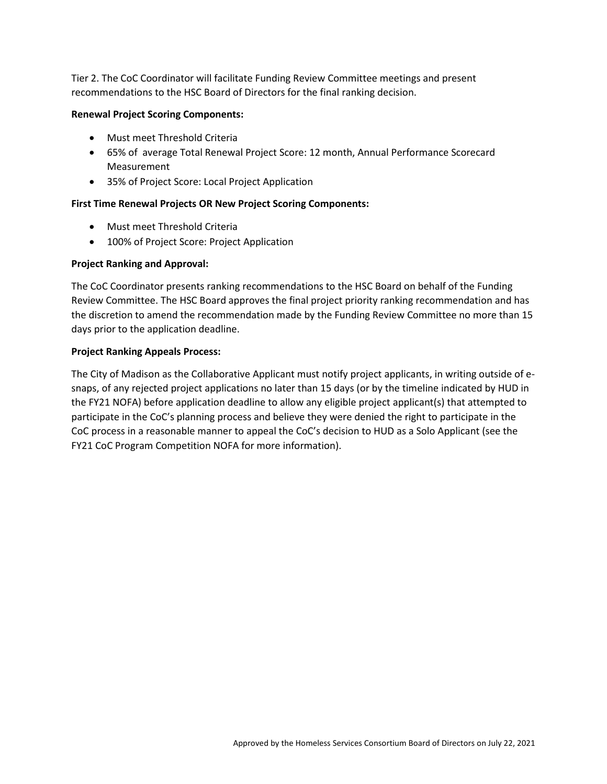Tier 2. The CoC Coordinator will facilitate Funding Review Committee meetings and present recommendations to the HSC Board of Directors for the final ranking decision.

### **Renewal Project Scoring Components:**

- Must meet Threshold Criteria
- 65% of average Total Renewal Project Score: 12 month, Annual Performance Scorecard Measurement
- 35% of Project Score: Local Project Application

### **First Time Renewal Projects OR New Project Scoring Components:**

- Must meet Threshold Criteria
- 100% of Project Score: Project Application

### **Project Ranking and Approval:**

The CoC Coordinator presents ranking recommendations to the HSC Board on behalf of the Funding Review Committee. The HSC Board approves the final project priority ranking recommendation and has the discretion to amend the recommendation made by the Funding Review Committee no more than 15 days prior to the application deadline.

### **Project Ranking Appeals Process:**

The City of Madison as the Collaborative Applicant must notify project applicants, in writing outside of esnaps, of any rejected project applications no later than 15 days (or by the timeline indicated by HUD in the FY21 NOFA) before application deadline to allow any eligible project applicant(s) that attempted to participate in the CoC's planning process and believe they were denied the right to participate in the CoC process in a reasonable manner to appeal the CoC's decision to HUD as a Solo Applicant (see the FY21 CoC Program Competition NOFA for more information).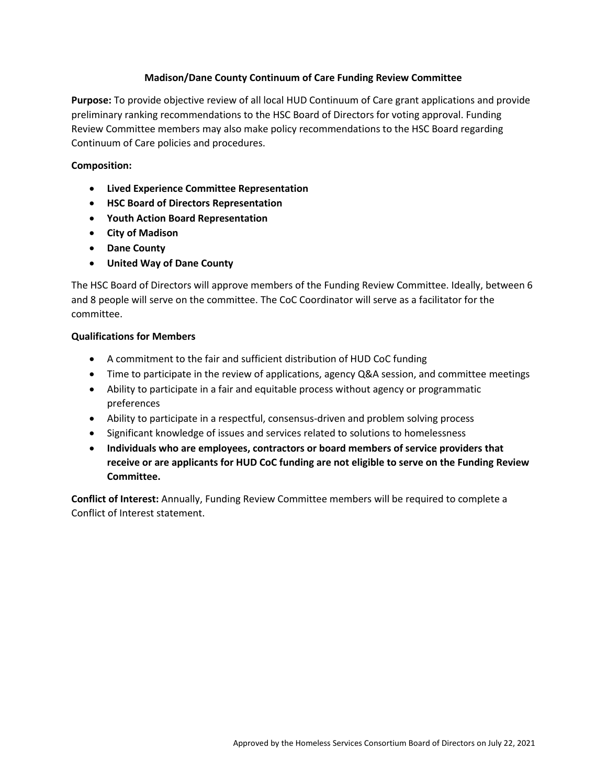### **Madison/Dane County Continuum of Care Funding Review Committee**

**Purpose:** To provide objective review of all local HUD Continuum of Care grant applications and provide preliminary ranking recommendations to the HSC Board of Directors for voting approval. Funding Review Committee members may also make policy recommendations to the HSC Board regarding Continuum of Care policies and procedures.

### **Composition:**

- **Lived Experience Committee Representation**
- **HSC Board of Directors Representation**
- **Youth Action Board Representation**
- **City of Madison**
- **Dane County**
- **United Way of Dane County**

The HSC Board of Directors will approve members of the Funding Review Committee. Ideally, between 6 and 8 people will serve on the committee. The CoC Coordinator will serve as a facilitator for the committee.

#### **Qualifications for Members**

- A commitment to the fair and sufficient distribution of HUD CoC funding
- Time to participate in the review of applications, agency Q&A session, and committee meetings
- Ability to participate in a fair and equitable process without agency or programmatic preferences
- Ability to participate in a respectful, consensus-driven and problem solving process
- Significant knowledge of issues and services related to solutions to homelessness
- **Individuals who are employees, contractors or board members of service providers that receive or are applicants for HUD CoC funding are not eligible to serve on the Funding Review Committee.**

**Conflict of Interest:** Annually, Funding Review Committee members will be required to complete a Conflict of Interest statement.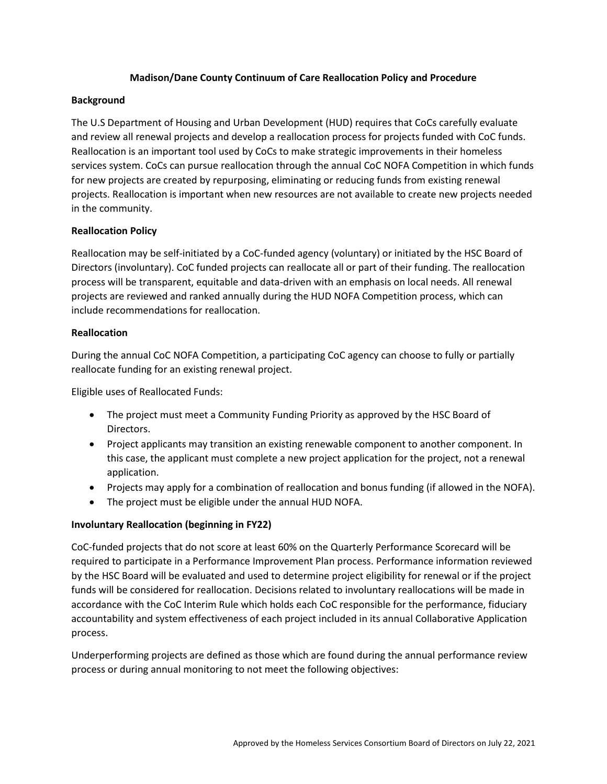### **Madison/Dane County Continuum of Care Reallocation Policy and Procedure**

#### **Background**

The U.S Department of Housing and Urban Development (HUD) requires that CoCs carefully evaluate and review all renewal projects and develop a reallocation process for projects funded with CoC funds. Reallocation is an important tool used by CoCs to make strategic improvements in their homeless services system. CoCs can pursue reallocation through the annual CoC NOFA Competition in which funds for new projects are created by repurposing, eliminating or reducing funds from existing renewal projects. Reallocation is important when new resources are not available to create new projects needed in the community.

#### **Reallocation Policy**

Reallocation may be self-initiated by a CoC-funded agency (voluntary) or initiated by the HSC Board of Directors (involuntary). CoC funded projects can reallocate all or part of their funding. The reallocation process will be transparent, equitable and data-driven with an emphasis on local needs. All renewal projects are reviewed and ranked annually during the HUD NOFA Competition process, which can include recommendations for reallocation.

#### **Reallocation**

During the annual CoC NOFA Competition, a participating CoC agency can choose to fully or partially reallocate funding for an existing renewal project.

Eligible uses of Reallocated Funds:

- The project must meet a Community Funding Priority as approved by the HSC Board of Directors.
- Project applicants may transition an existing renewable component to another component. In this case, the applicant must complete a new project application for the project, not a renewal application.
- Projects may apply for a combination of reallocation and bonus funding (if allowed in the NOFA).
- The project must be eligible under the annual HUD NOFA.

### **Involuntary Reallocation (beginning in FY22)**

CoC-funded projects that do not score at least 60% on the Quarterly Performance Scorecard will be required to participate in a Performance Improvement Plan process. Performance information reviewed by the HSC Board will be evaluated and used to determine project eligibility for renewal or if the project funds will be considered for reallocation. Decisions related to involuntary reallocations will be made in accordance with the CoC Interim Rule which holds each CoC responsible for the performance, fiduciary accountability and system effectiveness of each project included in its annual Collaborative Application process.

Underperforming projects are defined as those which are found during the annual performance review process or during annual monitoring to not meet the following objectives: